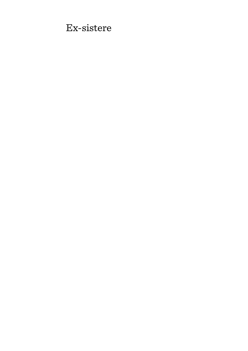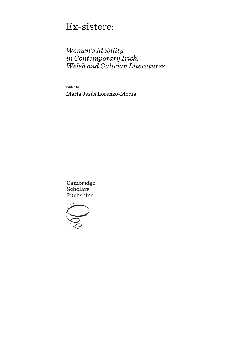# Ex-sistere:

# *Women's Mobility in Contemporary Irish, Welsh and Galician Literatures*

Edited by María Jesús Lorenzo-Modia

Cambridge **Scholars** Publishing

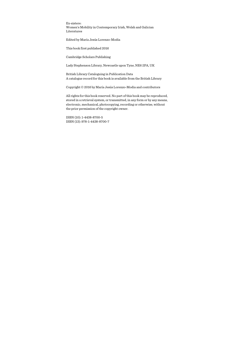Ex-sistere: Women's Mobility in Contemporary Irish, Welsh and Galician Literatures

Edited by María Jesús Lorenzo-Modia

This book first published 2016

Cambridge Scholars Publishing

Lady Stephenson Library, Newcastle upon Tyne, NE6 2PA, UK

British Library Cataloguing in Publication Data A catalogue record for this book is available from the British Library

Copyright © 2016 by María Jesús Lorenzo-Modia and contributors

All rights for this book reserved. No part of this book may be reproduced, stored in a retrieval system, or transmitted, in any form or by any means, electronic, mechanical, photocopying, recording or otherwise, without the prior permission of the copyright owner.

ISBN (10): 1-4438-8700-5 ISBN (13): 978-1-4438-8700-7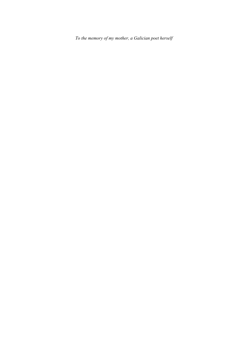*To the memory of my mother, a Galician poet herself*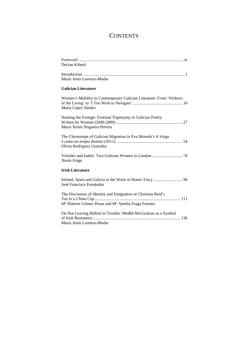## **CONTENTS**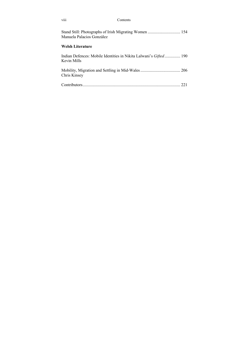| viii                      | Contents                                                                 |
|---------------------------|--------------------------------------------------------------------------|
| Manuela Palacios González |                                                                          |
| <b>Welsh Literature</b>   |                                                                          |
| Kevin Mills               | Indian Defences: Mobile Identities in Nikita Lalwani's <i>Gifted</i> 190 |
| Chris Kinsey              |                                                                          |
|                           |                                                                          |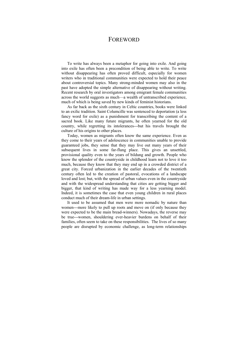## FOREWORD

To write has always been a metaphor for going into exile. And going into exile has often been a precondition of being able to write. To write without disappearing has often proved difficult, especially for women writers who in traditional communities were expected to hold their peace about controversial topics. Many strong-minded women may also in the past have adopted the simple alternative of disappearing without writing. Recent research by oral investigators among emigrant female communities across the world suggests as much—a wealth of untranscribed experience, much of which is being saved by new kinds of feminist historians.

As far back as the sixth century in Celtic countries, books were linked to an exilic tradition. Saint Columcille was sentenced to deportation (a less fancy word for exile) as a punishment for transcribing the content of a sacred book. Like many future migrants, he often yearned for the old country, while regretting its intolerances---but his travels brought the culture of his origins to other places.

Today, women as migrants often know the same experience. Even as they come to their years of adolescence in communities unable to provide guaranteed jobs, they sense that they may live out many years of their subsequent lives in some far-flung place. This gives an unsettled, provisional quality even to the years of bildung and growth. People who know the splendor of the countryside in childhood learn not to love it too much, because they know that they may end up in a crowded district of a great city. Forced urbanization in the earlier decades of the twentieth century often led to the creation of pastoral, evocations of a landscape loved and lost; but, with the spread of urban values even in the countryside and with the widespread understanding that cities are getting bigger and bigger, that kind of writing has made way for a less yearning model. Indeed, it is sometimes the case that even young children in rural places conduct much of their dream-life in urban settings.

It used to be assumed that men were more nomadic by nature than women---more likely to pull up roots and move on (if only because they were expected to be the main bread-winners). Nowadays, the reverse may be true---women, shouldering ever-heavier burdens on behalf of their families, often seem to take on these responsibilities. The lives of so many people are disrupted by economic challenge, as long-term relationships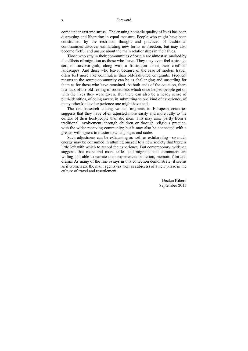#### x Foreword

come under extreme stress. The ensuing nomadic quality of lives has been distressing and liberating in equal measure. People who might have been constrained by the restricted thought and practices of traditional communities discover exhilarating new forms of freedom, but may also become fretful and unsure about the main relationships in their lives.

Those who stay in their communities of origin are almost as marked by the effects of migration as those who leave. They may even feel a strange sort of survivor-guilt, along with a frustration about their confined landscapes. And those who leave, because of the ease of modern travel, often feel more like commuters than old-fashioned emigrants. Frequent returns to the source-community can be as challenging and unsettling for them as for those who have remained. At both ends of the equation, there is a lack of the old feeling of rootedness which once helped people get on with the lives they were given. But there can also be a heady sense of pluri-identities, of being aware, in submitting to one kind of experience, of many other kinds of experience one might have had.

The oral research among women migrants in European countries suggests that they have often adjusted more easily and more fully to the culture of their host-people than did men. This may arise partly from a traditional involvement, through children or through religious practice, with the wider receiving community; but it may also be connected with a greater willingness to master new languages and codes.

Such adjustment can be exhausting as well as exhilarating—so much energy may be consumed in attuning oneself to a new society that there is little left with which to record the experience. But contemporary evidence suggests that more and more exiles and migrants and commuters are willing and able to narrate their experiences in fiction, memoir, film and drama. As many of the fine essays in this collection demonstrate, it seems as if women are the main agents (as well as subjects) of a new phase in the culture of travel and resettlement.

> Declan Kiberd September 2015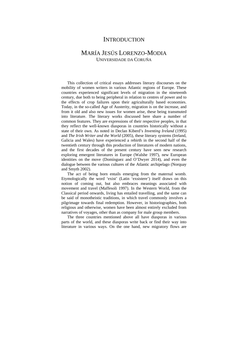## **INTRODUCTION**

## MARÍA JESÚS LORENZO-MODIA UNIVERSIDADE DA CORUÑA

This collection of critical essays addresses literary discourses on the mobility of women writers in various Atlantic regions of Europe. These countries experienced significant levels of migration in the nineteenth century, due both to being peripheral in relation to centres of power and to the effects of crop failures upon their agriculturally based economies. Today, in the so-called Age of Austerity, migration is on the increase, and from it old and also new issues for women arise, these being transmuted into literature. The literary works discussed here share a number of common features. They are expressions of their respective peoples, in that they reflect the well-known diasporas in countries historically without a state of their own. As noted in Declan Kiberd's *Inventing Ireland* (1995) and *The Irish Writer and the World* (2005), these literary systems (Ireland, Galicia and Wales) have experienced a rebirth in the second half of the twentieth century through this production of literatures of modern nations, and the first decades of the present century have seen new research exploring emergent literatures in Europe (Walshe 1997), new European identities on the move (Domínguez and O'Dwyer 2014), and even the dialogue between the various cultures of the Atlantic archipelago (Norquay and Smyth 2002).

The act of being born entails emerging from the maternal womb. Etymologically the word 'exist' (Latin 'exsistere') itself draws on this notion of coming out, but also embraces meanings associated with movement and travel (Maffesoli 1997). In the Western World, from the Classical period onwards, living has entailed travelling, and the same can be said of monotheistic traditions, in which travel commonly involves a pilgrimage towards final redemption. However, in historiographies, both religious and otherwise, women have been almost entirely excluded from narratives of voyages, other than as company for male group members.

The three countries mentioned above all have diasporas in various parts of the world, and these diasporas write back or find their way into literature in various ways. On the one hand, new migratory flows are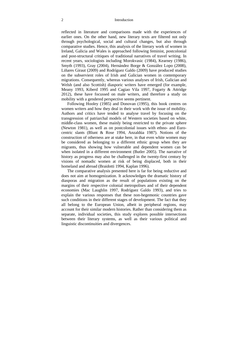#### 2 Introduction

reflected in literature and comparisons made with the experiences of earlier ones. On the other hand, new literary texts are filtered not only through psychological, social and cultural changes, but also through comparative studies. Hence, this analysis of the literary work of women in Ireland, Galicia and Wales is approached following feminist, postcolonial and post-structural critiques of traditional narratives of travel writing. In recent years, sociologists including Morokvasic (1984), Kearney (1986), Smyth (1993), Gray (2004), Hernández Borge & González Lopo (2008), Liñares Giraut (2009) and Rodríguez Galdo (2009) have produced studies on the subservient roles of Irish and Galician women in contemporary migrations. Consequently, whereas various analyses of Irish, Galician and Welsh (and also Scottish) diasporic writers have emerged (for example, Meany 1993, Kiberd 1995 and Cagiao Vila 1997, Fogarty & Attridge 2012), these have focussed on male writers, and therefore a study on mobility with a gendered perspective seems pertinent.

Following Hooley (1985) and Donovan (1995), this book centres on women writers and how they deal in their work with the issue of mobility. Authors and critics have tended to analyse travel by focusing on the transgression of patriarchal models of Western societies based on white, middle-class women, these mainly being restricted to the private sphere (Newton 1981), as well as on postcolonial issues with ethno- and Eurocentric slants (Blunt & Rose 1994, Anzaldúa 1987). Notions of the construction of otherness are at stake here, in that even white women may be considered as belonging to a different ethnic group when they are migrants, thus showing how vulnerable and dependent women can be when isolated in a different environment (Butler 2005). The narrative of history as progress may also be challenged in the twenty-first century by visions of nomadic women at risk of being displaced, both in their homeland and abroad (Braidotti 1994, Kaplan 1996).

The comparative analysis presented here is far for being reductive and does not aim at homogenization. It acknowledges the dramatic history of diasporas and migration as the result of populations existing on the margins of their respective colonial metropolises and of their dependent economies (Mac Laughlin 1997, Rodríguez Galdo 1993), and tries to explain the various responses that these non-hegemonic countries gave such conditions in their different stages of development. The fact that they all belong to the European Union, albeit in peripheral regions, may account for their similar modern histories. Rather than considering them as separate, individual societies, this study explores possible intersections between their literary systems, as well as their various political and linguistic discontinuities and divergences.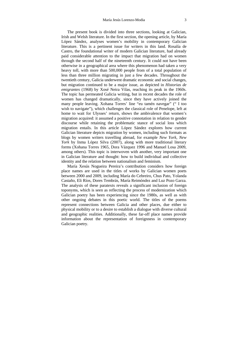The present book is divided into three sections, looking at Galician, Irish and Welsh literature. In the first section, the opening article, by María López Sández, analyses women's mobility in contemporary Galician literature. This is a pertinent issue for writers in this land. Rosalía de Castro, the foundational writer of modern Galician literature, had already paid considerable attention to the impact that migration had on women through the second half of the nineteenth century. It could not have been otherwise in a geographical area where this phenomenon had taken a very heavy toll, with more than 500,000 people from of a total population of less than three million migrating in just a few decades. Throughout the twentieth century, Galicia underwent dramatic economic and social changes, but migration continued to be a major issue, as depicted in *Historias de emigrantes* (1968) by Xosé Neira Vilas, reaching its peak in the 1960s. The topic has permeated Galicia writing, but in recent decades the role of women has changed dramatically, since they have actively joined the many people leaving. Xohana Torres' line "eu tamén navegar" (" I too wish to navigate"), which challenges the classical role of Penelope, left at home to wait for Ulysses' return, shows the ambivalence that women's migration acquired: it assumed a positive connotation in relation to gender discourse while retaining the problematic stance of social loss which migration entails. In this article López Sández explores how current Galician literature depicts migration by women, including such formats as blogs by women writers travelling abroad, for example *New York, New York* by Inma López Silva (2007), along with more traditional literary forms (Xohana Torres 1965, Dora Vázquez 1996 and Manuel Losa 2009,

among others). This topic is interwoven with another, very important one in Galician literature and thought: how to build individual and collective identity and the relation between nationalism and feminism.

María Xesús Nogueira Pereira's contribution considers how foreign place names are used in the titles of works by Galician women poets between 2000 and 2009, including María do Cebreiro, Chus Pato, Yolanda Castaño, Eli Ríos, Dores Tembrás, María Reimóndez and Luz Pozo Garza. The analysis of these paratexts reveals a significant inclusion of foreign toponyms, which is seen as reflecting the process of modernization which Galician poetry has been experiencing since the 1980s, as well as with other ongoing debates in this poetic world. The titles of the poems represent connections between Galicia and other places, due either to physical mobility or to a desire to establish a dialogue with diverse cultural and geographic realities. Additionally, these far-off place names provide information about the representation of foreignness in contemporary Galician poetry.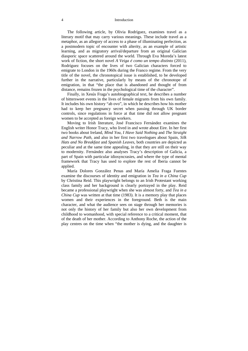#### 4 Introduction

The following article, by Olivia Rodríguez, examines travel as a literary motif that may carry various meanings. These include travel as a metaphor, as an allegory of access to a phase of illuminating perfection, as a postmodern topic of encounter with alterity, as an example of artistic learning, and as migratory arrival/departure from an original Galician diasporic space scattered around the world. Through Eva Moreda's latest work of fiction, the short novel *A Veiga é como un tempo distinto* (2011), Rodríguez focuses on the lives of two Galician characters forced to emigrate to London in the 1960s during the Franco regime. From the very title of the novel, the chronotopical issue is established, to be developed further in the narrative, particularly by means of the chronotope of emigration, in that "the place that is abandoned and thought of from distance, remains frozen in the psychological time of the character".

Finally, in Xesús Fraga's autobiographical text, he describes a number of bittersweet events in the lives of female migrants from his own family. It includes his own history "ab ovo", in which he describes how his mother had to keep her pregnancy secret when passing through UK border controls, since regulations in force at that time did not allow pregnant women to be accepted as foreign workers.

Moving to Irish literature, José Francisco Fernández examines the English writer Honor Tracy, who lived in and wrote about Eire. In her first two books about Ireland, *Mind You, I Have Said Nothing* and *The Straight and Narrow Path*, and also in her first two travelogues about Spain, *Silk Hats and No Breakfast* and *Spanish Leaves*, both countries are depicted as peculiar and at the same time appealing, in that they are still on their way to modernity. Fernández also analyses Tracy's description of Galicia, a part of Spain with particular idiosyncrasies, and where the type of mental framework that Tracy has used to explore the rest of Iberia cannot be applied.

María Dolores González Penas and María Amelia Fraga Fuentes examine the discourses of identity and emigration in *Tea in a China Cup* by Christina Reid. This playwright belongs to an Irish Protestant working class family and her background is clearly portrayed in the play. Reid became a professional playwright when she was almost forty, and *Tea in a China Cup* was written at that time (1983). It is a memory play that places women and their experiences in the foreground. Beth is the main character, and what the audience sees on stage through her memories is not only the history of her family but also her own development from childhood to womanhood, with special reference to a critical moment, that of the death of her mother. According to Anthony Roche, the action of the play centres on the time when "the mother is dying, and the daughter is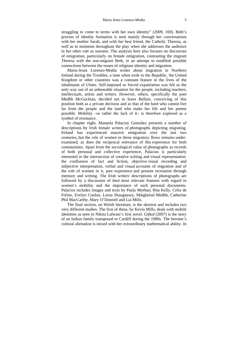struggling to come to terms with her own identity" (2009, 169). Beth's process of identity formation is seen mainly through her conversations with her mother Sarah, and with her best friend, the Catholic Theresa, as well as in moments throughout the play when she addresses the audience in her other role as narrator. The analysis here also focuses on discourses of emigration, particularly on female emigration, contrasting the migrant Theresa with the non-migrant Beth, in an attempt to establish possible connections between the issues of religious identity and migration.

María-Jesús Lorenzo-Modia writes about migration in Northern Ireland during the Troubles, a time when exile to the Republic, the United Kingdom or other countries was a constant feature in the lives of the inhabitants of Ulster. Self-imposed or forced expatriation was felt as the only way out of an unbearable situation for the people, including teachers, intellectuals, artists and writers. However, others, specifically the poet Medbh McGuckian, decided not to leave Belfast, conceiving of this position both as a private decision and as that of the bard who cannot live far from the people and the land who make her life and her poems possible. Mobility –or rather the lack of it– is therefore explored as a symbol of resistance.

In chapter eight, Manuela Palacios González presents a number of descriptions by Irish female writers of photographs depicting migrating. Ireland has experienced massive emigration over the last two centuries, but the role of women in these migratory flows remains underexamined, as does the reciprocal relevance of this experience for both communities. Apart from the sociological value of photographs as records of both personal and collective experience, Palacios is particularly interested in the intersection of creative writing and visual representation: the confluence of fact and fiction, objective visual recording and subjective interpretation, verbal and visual accounts of migration and of the role of women in it, past experience and present recreation through memory and writing. The Irish writers' descriptions of photographs are followed by a discussion of their most relevant features with regard to women's mobility and the importance of such personal documents. Palacios includes images and texts by Paula Meehan, Rita Kelly, Celia de Fréine, Evelyn Conlon, Lorna Shaugnessy, Máighréad Medbh, Catherine Phil MacCarthy, Mary O'Donnell and Lia Mills.

The final section, on Welsh literature, is the shortest and includes two very different studies. The first of these, by Kevin Mills, deals with mobile identities as seen in Nikita Lalwani's first novel. *Gifted* (2007) is the story of an Indian family transposed to Cardiff during the 1980s. The heroine's cultural alienation is mixed with her extraordinary mathematical ability. In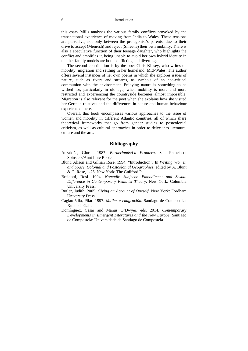#### 6 Introduction

this essay Mills analyses the various family conflicts provoked by the transnational experience of moving from India to Wales. These tensions are pervasive, not only between the protagonist's parents, due to their drive to accept (Menresh) and reject (Shreene) their own mobility. There is also a speculative function of their teenage daughter, who highlights the conflict and amplifies it, being unable to avoid her own hybrid identity in that her family models are both conflicting and diverting.

The second contribution is by the poet Chris Kinsey, who writes on mobility, migration and settling in her homeland, Mid-Wales. The author offers several instances of her own poems in which she explores issues of nature, such as rivers and streams, as symbols of an eco-critical communion with the environment. Enjoying nature is something to be wished for, particularly in old age, when mobility is more and more restricted and experiencing the countryside becomes almost impossible. Migration is also relevant for the poet when she explains how she visited her German relatives and the differences in nature and human behaviour experienced there.

Overall, this book encompasses various approaches to the issue of women and mobility in different Atlantic countries, all of which share theoretical frameworks that go from gender studies to postcolonial criticism, as well as cultural approaches in order to delve into literature, culture and the arts.

### **Bibliography**

- Anzaldúa, Gloria. 1987. *Borderlands/La Frontera*. San Francisco: Spinsters/Aunt Lute Books.
- Blunt, Alison and Gillian Rose. 1994. "Introduction". In *Writing Women and Space. Colonial and Postcolonial Geographies*, edited by A. Blunt & G. Rose, 1-25. New York: The Guilford P.
- Braidotti, Rosi. 1994. *Nomadic Subjects: Embodiment and Sexual Difference in Contemporary Feminist Theory*. New York: Columbia University Press.
- Butler, Judith. 2005. *Giving an Account of Oneself*. New York: Fordham University Press.
- Cagiao Vila, Pilar. 1997. *Muller e emigración*. Santiago de Compostela: Xunta de Galicia.
- Domínguez, César and Manus O'Dwyer, eds. 2014. *Contemporary Developments in Emergent Literatures and the New Europe*. Santiago de Compostela: Universidade de Santiago de Compostela.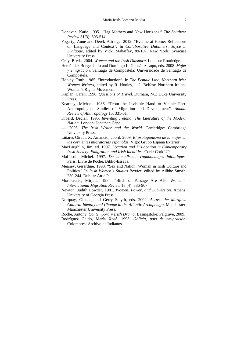- Donovan, Katie. 1995. "Hag Mothers and New Horizons." *The Southern Review* 31(3): 503-514.
- Fogarty, Anne and Derek Attridge. 2012. "Eveline at Home: Reflections on Language and Context". In *Collaborative Dubliners: Joyce in Dialgoue*, edited by Vicki Mahaffey, 89-107. New York: Syracuse University Press.
- Gray, Breda. 2004. *Women and the Irish Diaspora*. London: Routledge.
- Hernández Borge, Julio and Domingo L. González Lopo, eds. 2008. *Mujer y emigración*. Santiago de Compostela: Universidade de Santiago de Compostela.
- Hooley, Ruth. 1985. "Introduction". In *The Female Line. Northern Irish Women Writers*, edited by R. Hooley, 1-2. Belfast: Northern Ireland Women's Rights Movement.
- Kaplan, Caren. 1996. *Questions of Travel*. Durham, NC: Duke University Press.
- Kearney, Michael. 1986. "From the Invisible Hand to Visible Feet: Anthropological Studies of Migration and Development". *Annual Review of Anthropology* 15: 331-61.
- Kiberd, Declan. 1995. *Inventing Ireland: The Literature of the Modern Nation*. London: Jonathan Cape.
- —. 2005. *The Irish Writer and the World*. Cambridge: Cambridge University Press.
- Liñares Giraut, X. Amancio, coord. 2009. *El protagonismo de la mujer en las corrientes migratorias españolas*. Vigo: Grupo España Exterior.
- MacLaughlin, Jim, ed. 1997. *Location and Dislocation in Contemporary Irish Society: Emigration and Irish Identities*. Cork: Cork UP.
- Maffesoli, Michel. 1997. *Du nomadisme: Vagabondages initiatiques*. Paris: Livre de Poche, Biblio-Essays.
- Meaney, Gerardine. 1993. "Sex and Nation: Woman in Irish Culture and Politics." In *Irish Women's Studies Reader*, edited by Ailbhe Smyth, 230-244. Dublin: Attic P.
- Morokvasic, Mirjana. 1984. "Birds of Passage Are Also Women". *International Migration Review* 18 (4): 886-907.
- Newton, Judith Lowder. 1981. *Women, Power, and Subversion*. Athens: University of Georgia Press.
- Norquay, Glenda, and Gerry Smyth, eds. 2002. *Across the Margins: Cultural Identity and Change in the Atlantic Archipelago*. Manchester: Manchester University Press.
- Roche, Antony. *Contemporary Irish Drama*. Basingstoke: Palgrave, 2009.
- Rodríguez Galdo, María Xosé. 1993. *Galicia, país de emigración*. Colombres: Archivo de Indianos.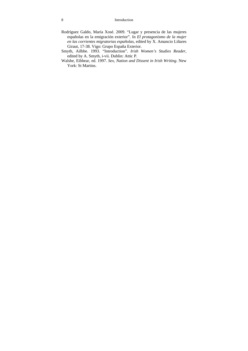- Rodríguez Galdo, María Xosé. 2009. "Lugar y presencia de las mujeres españolas en la emigración exterior". In *El protagonismo de la mujer en las corrientes migratorias españolas*, edited by X. Amancio Liñares Giraut, 17-38. Vigo: Grupo España Exterior.
- Smyth, Ailbhe. 1993. "Introduction". *Irish Women's Studies Reader*, edited by A. Smyth, i-vii. Dublin: Attic P.
- Walshe, Eibhear, ed. 1997. *Sex, Nation and Dissent in Irish Writing*. New York: St Martins.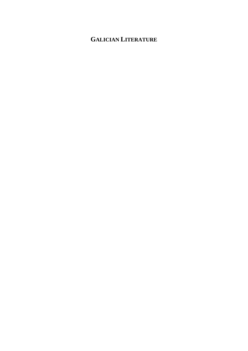# **GALICIAN LITERATURE**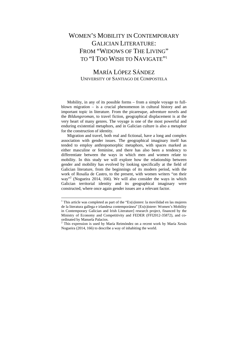# WOMEN'S MOBILITY IN CONTEMPORARY GALICIAN LITERATURE: FROM "WIDOWS OF THE LIVING" TO "I TOO WISH TO NAVIGATE"1

### MARÍA LÓPEZ SÁNDEZ UNIVERSITY OF SANTIAGO DE COMPOSTELA

Mobility, in any of its possible forms – from a simple voyage to fullblown migration – is a crucial phenomenon in cultural history and an important topic in literature. From the picaresque, adventure novels and the *Bildungsroman*, to travel fiction, geographical displacement is at the very heart of many genres. The voyage is one of the most powerful and enduring existential metaphors, and in Galician culture is also a metaphor for the construction of identity.

Migration and travel, both real and fictional, have a long and complex association with gender issues. The geographical imaginary itself has tended to employ anthropomorphic metaphors, with spaces marked as either masculine or feminine, and there has also been a tendency to differentiate between the ways in which men and women relate to mobility. In this study we will explore how the relationship between gender and mobility has evolved by looking specifically at the field of Galician literature, from the beginnings of its modern period, with the work of Rosalía de Castro, to the present, with women writers "on their way"<sup>2</sup> (Nogueira 2014, 166). We will also consider the ways in which Galician territorial identity and its geographical imaginary were constructed, where once again gender issues are a relevant factor.

 $\overline{a}$ 

<sup>&</sup>lt;sup>1</sup> This article was completed as part of the "Ex(s) istere: la movilidad en las mujeres de la literatura gallega e irlandesa contemporánea" [Ex(s)istere: Women's Mobility in Contemporary Galician and Irish Literature] research project, financed by the Ministry of Economy and Competitivity and FEDER (FFI2012-35872), and coordinated by Manuela Palacios.

<sup>&</sup>lt;sup>2</sup> This expression is used by María Reimóndez on a recent work by María Xesús Nogueira (2014, 166) to describe a way of inhabiting the world.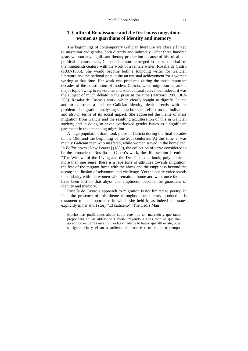### **1. Cultural Renaissance and the first mass migration: women as guardians of identity and memory**

The beginnings of contemporary Galician literature are closely linked to migration and gender, both directly and indirectly. After three hundred years without any significant literary production because of historical and political circumstances, Galician literature emerged in the second half of the nineteenth century with the work of a female writer, Rosalía de Castro (1837-1885). She would become both a founding writer for Galician literature and the national poet, quite an unusual achievement for a woman writing at that time. Her work was produced during the most important decades of the constitution of modern Galicia, when migration became a major topic owing to its volume and sociocultural relevance. Indeed, it was the subject of much debate in the press at the time (Barreiro 1986, 362- 363). Rosalía de Castro's work, which clearly sought to dignify Galicia and to construct a positive Galician identity, dealt directly with the problem of migration, analysing its psychological effect on the individual and also in terms of its social impact. She addressed the theme of mass migration from Galicia and the resulting acculturation of this in Galician society, and in doing so never overlooked gender issues as a significant parameter in understanding migration.

A huge population drain took place in Galicia during the final decades of the 19th and the beginning of the 20th centuries. At this time, it was mainly Galician men who migrated, while women stayed in the homeland. In *Follas novas* [New Leaves] (1880), the collection of verse considered to be the pinnacle of Rosalía de Castro's work, the fifth section is entitled "The Widows of the Living and the Dead". In this book, polyphonic in more than one sense, there is a repertoire of attitudes towards migration: the fear of the migrant faced with the abyss and the emptiness beyond the ocean; the illusion of adventure and challenge. Yet the poetic voice stands in solidarity with the women who remain at home and who, once the men have been lost to that abyss and emptiness, become the guardians of identity and memory.

Rosalía de Castro's approach to migration is not limited to poetry. In fact, the presence of this theme throughout her literary production is testament to the importance in which she held it, as indeed she states explicitly in her short story "El cadiceño" [The Cádiz Man]:

Mucho más pudiéramos añadir sobre este tipo tan marcado y que tanto prepondera en las aldeas de Galicia, trayendo a ellas todo lo que han aprendido en tierras más civilizadas y nada de lo bueno que allí existe, pues su ignorancia y el ansia ardiente de hacerse ricos en poco tiempo,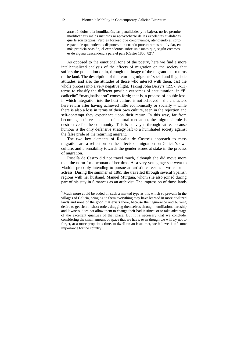arrastrándolos a la humillación, las penalidades y la bajeza, no les permite modificar sus malos instintos ni aprovecharse de las excelentes cualidades que le son propias. Pero es forzoso que concluyamos, atendiendo al corto espacio de que podemos disponer, aun cuando procuraremos no olvidar, en más propicia ocasión, el extendernos sobre un asunto que, según creemos, es de alguna trascendencia para el país (Castro 1866, 82).<sup>3</sup>

As opposed to the emotional tone of the poetry, here we find a more intellectualized analysis of the effects of migration on the society that suffers the population drain, through the image of the migrant that returns to the land. The description of the returning migrants' social and linguistic attitudes, and also the attitudes of those who interact with them, cast the whole process into a very negative light. Taking John Berry's (1997, 9-11) terms to classify the different possible outcomes of acculturation, in "El cadiceño" "marginalisation" comes forth; that is, a process of double loss, in which integration into the host culture is not achieved – the characters here return after having achieved little economically or socially – while there is also a loss in terms of their own culture, seen in the rejection and self-contempt they experience upon their return. In this way, far from becoming positive elements of cultural mediation, the migrants' role is destructive for the community. This is conveyed through satire, because humour is the only defensive strategy left to a humiliated society against the false pride of the returning migrant.

The two key elements of Rosalía de Castro's approach to mass migration are a reflection on the effects of migration on Galicia's own culture, and a sensibility towards the gender issues at stake in the process of migration.

Rosalía de Castro did not travel much, although she did move more than the norm for a woman of her time. At a very young age she went to Madrid, probably intending to pursue an artistic career as a writer or an actress. During the summer of 1861 she travelled through several Spanish regions with her husband, Manuel Murguía, whom she also joined during part of his stay in Simancas as an archivist. The impression of those lands

<sup>&</sup>lt;sup>3</sup> Much more could be added on such a marked type as this which so prevails in the villages of Galicia, bringing to them everything they have learned in more civilized lands and none of the good that exists there, because their ignorance and burning desire to get rich in short order, dragging themselves through humiliation, hardship and lowness, does not allow them to change their bad instincts or to take advantage of the excellent qualities of that place. But it is necessary that we conclude, considering the small amount of space that we have, even though we will try not to forget, at a more propitious time, to dwell on an issue that, we believe, is of some importance for the country.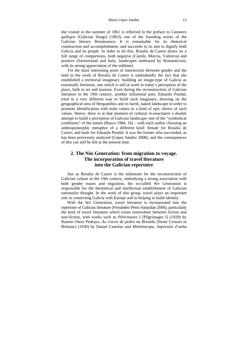she visited in the summer of 1861 is reflected in the preface to *Cantares gallegos* [Galician Songs] (1863), one of the founding works of the Galician literary Renaissance. It is remarkable for its rhetorical construction and accomplishment, and succeeds in its aim to dignify both Galicia and its people. In order to do this, Rosalía de Castro draws on a full range of comparisons, both negative (Castile, Murcia, Valencia) and positive (Switzerland and Italy, landscapes embraced by Romanticism, with its strong appreciation of the sublime).

Yet the most interesting point of intersection between gender and the land in the work of Rosalía de Castro is undoubtedly the fact that she established a territorial imaginary, building an image-type of Galicia as essentially feminine, one which is still at work in today's perception of the place, both in art and tourism. Even during the reconstruction of Galician literature in the 19th century, another influential poet, Eduardo Pondal, tried in a very different way to build such imaginary, drawing on the geographical area of Bergantiños and its harsh, naked landscape in order to promote identification with male values in a kind of epic choice of such values. Hence, there is at that moment of cultural re-enactment a double attempt to build a perception of Galician landscape–one of the "symbolical conditions" of the nation (Bazco 1984, 16) – with each author choosing an anthropomorphic metaphor of a different kind: female for Rosalía de Castro, and male for Eduardo Pondal. It was the former who succeeded, as has been previously analysed (López Sández 2008), and the consequences of this can still be felt at the present time.

### **2. The Nós Generation: from migration to voyage. The incorporation of travel literature into the Galician repertoire**

Just as Rosalía de Castro is the milestone for the reconstruction of Galician culture in the 19th century, embodying a strong association with both gender issues and migration, the so-called We Generation is responsible for the theoretical and intellectual establishment of Galician nationalist thought. In the work of this group, travel plays an important role in connecting Galicia with Europe and in helping to build identity.

With the We Generation, travel literature is incorporated into the repertoire of Galician literature (Fernández Pérez-Sanjulián 2006), particularly the kind of travel literature which exists somewhere between fiction and non-fiction, with works such as *Pelerinaxes I* [Pilgrimages I] (1929) by Ramón Otero Pedrayo, *As cruces de pedra na Bretaña* [Stone Crosses in Brittany] (1930) by Daniel Castelao and *Mitteleuropa. Impresiós d'unha*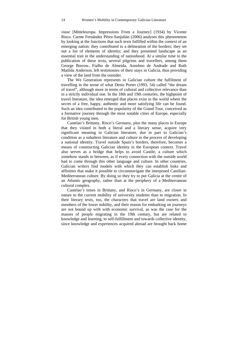*viaxe* [Mitteleuropa. Impressions From a Journey] (1934) by Vicente Risco. Carme Fernández Pérez-Sanjulián (2006) analyses this phenomenon by looking at the functions that such texts fulfilled within the context of an emerging nation: they contributed to a delineation of the borders; they set out a list of elements of identity; and they presented landscape as an essential trait in the understanding of nationhood. At a similar time to the publication of these texts, several pilgrims and travellers, among them George Borrow, Fialho de Almeida, Anselmo de Andrade and Ruth Matilda Anderson, left testimonies of their stays in Galicia, thus providing a view of the land from the outsider.

The We Generation represents in Galician culture the fulfilment of travelling in the sense of what Denis Porter (1993, 54) called "the dream of travel", although more in terms of cultural and collective relevance than in a strictly individual one. In the 18th and 19th centuries, the highpoint of travel literature, the idea emerged that places exist in the world where the secret of a free, happy, authentic and more satisfying life can be found. Such an idea contributed to the popularity of the Grand Tour, conceived as a formative journey through the most notable cities of Europe, especially for British young men.

Castelao's Brittany, Risco's Germany, plus the many places in Europe that they visited in both a literal and a literary sense, acquire very significant meaning in Galician literature, due in part to Galician's condition as a subaltern literature and culture in the process of developing a national identity. Travel outside Spain's borders, therefore, becomes a means of constructing Galician identity in the European context. Travel also serves as a bridge that helps to avoid Castile, a culture which somehow stands in between, as if every connection with the outside world had to come through this other language and culture. In other countries, Galician writers find models with which they can establish links and affinities that make it possible to circumnavigate the interposed Castilian-Mediterranean culture. By doing so they try to put Galicia at the centre of an Atlantic geography, rather than at the periphery of a Mediterranean cultural complex.

Castelao's times in Brittany, and Risco's in Germany, are closer in nature to the current mobility of university students than to migration. In their literary texts, too, the characters that travel are land owners and members of the lower nobility, and their reason for embarking on journeys are not bound up with with economic survival, as was the case for the masses of people migrating in the 19th century, but are related to knowledge and learning, to self-fulfillment and towards collective identity, since knowledge and experiences acquired abroad are brought back home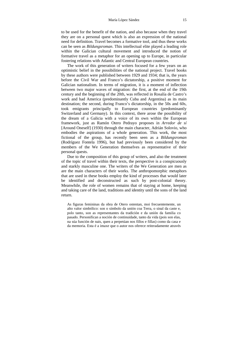to be used for the benefit of the nation, and also because when they travel they are on a personal quest which is also an expression of the national need for definition. Travel becomes a formative tool, and thus these works can be seen as *Bildungsroman*. This intellectual elite played a leading role within the Galician cultural movement and introduced the notion of formative travel as a metaphor for an opening up to Europe, in particular fostering relations with Atlantic and Central European countries.

The work of this generation of writers focused for a few years on an optimistic belief in the possibilities of the national project. Travel books by these authors were published between 1929 and 1934; that is, the years before the Civil War and Franco's dictatorship, a positive moment for Galician nationalism. In terms of migration, it is a moment of inflection between two major waves of migration: the first, at the end of the 19th century and the beginning of the 20th, was reflected in Rosalía de Castro's work and had America (predominantly Cuba and Argentina) as its main destination; the second, during Franco's dictatorship, in the 50s and 60s, took emigrants principally to European countries (predominantly Switzerland and Germany). In this context, there arose the possibility of the dream of a Galicia with a voice of its own within the European framework, just as Ramón Otero Pedrayo proposes in *Arredor de sí* [Around Oneself] (1930) through the main character, Adrián Solovio, who embodies the aspirations of a whole generation. This work, the most fictional of the group, has recently been seen as a *Bildungsroman* (Rodríguez Fontela 1996), but had previously been considered by the members of the We Generation themselves as representative of their personal quests.

Due to the composition of this group of writers, and also the treatment of the topic of travel within their texts, the perspective is a conspicuously and starkly masculine one. The writers of the We Generation are men as are the main characters of their works. The anthropomorphic metaphors that are used in these books employ the kind of processes that would later be identified and deconstructed as such by post-colonial theory. Meanwhile, the role of women remains that of staying at home, keeping and taking care of the land, traditions and identity until the sons of the land return.

As figuras femininas da obra de Otero ostentan, moi frecuentemente, un alto valor simbólico: son o símbolo da unión coa Terra, o sinal da caste e, polo tanto, son as representantes da tradición e da unión da familia co pasado. Personifican a noción de continuidade, tanto da vida (pois son elas, na súa función de nais, quen a perpetúan nos fillos e fillas) como da casa e da memoria. Esta é a imaxe que o autor nos oferece reiteradamente através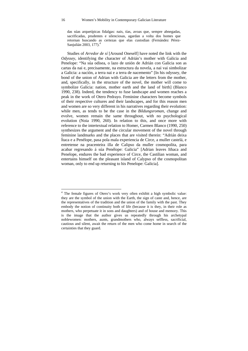das súas arquetípicas fidalgas: nais, tías, avoas que, sempre abnegadas, sacrificadas, prudentes e silenciosas, agardan a volta dos homes que retornan buscando as certezas que elas custodian (Fernández Pérez-Sanjulián 2003, 177).<sup>4</sup>

Studies of *Arredor de sí* [Around Oneself] have noted the link with the *Odyssey*, identifying the character of Adrián's mother with Galicia and Penelope: "Na súa odisea, o lazo de unión de Adrián con Galicia son as cartas da nai e, precisamente, na estructura da novela, a nai vai simbolizar a Galicia: a nación, a terra nai e a terra de nacemento" [In his odyssey, the bond of the union of Adrian with Galicia are the letters from the mother, and, specifically, in the structure of the novel, the mother will come to symbolize Galicia: nation, mother earth and the land of birth] (Blanco 1990, 238). Indeed, the tendency to fuse landscape and women reaches a peak in the work of Otero Pedrayo. Feminine characters become symbols of their respective cultures and their landscapes, and for this reason men and women are so very different in his narratives regarding their evolution: while men, as tends to be the case in the *Bildungsroman*, change and evolve, women remain the same throughout, with no psychological evolution (Noia 1990, 260). In relation to this, and once more with reference to the intertextual relation to Homer, Carmen Blanco (1990, 250) synthesizes the argument and the circular movement of the novel through feminine landmarks and the places that are visited therein: "Adrián deixa Ítaca e a Penélope, pasa pola mala experiencia de Circe, a muller castelá, e entretense na pracenteira illa de Calipso da muller cosmopolita, para acabar regresando á súa Penélope: Galicia" [Adrian leaves Ithaca and Penelope, endures the bad experience of Circe, the Castilian woman, and entertains himself on the pleasant island of Calypso of the cosmopolitan woman, only to end up returning to his Penelope: Galicia].

 4 The female figures of Otero's work very often exhibit a high symbolic value: they are the symbol of the union with the Earth, the sign of caste and, hence, are the representatives of the tradition and the union of the family with the past. They embody the notion of continuity both of life (because it is they, in their role as mothers, who perpetuate it in sons and daughters) and of house and memory. This is the image that the author gives us repeatedly through his archetypal noblewomen: mothers, aunts, grandmothers who, always selfless, sacrificial, cautious and silent, await the return of the men who come home in search of the certainties that they guard.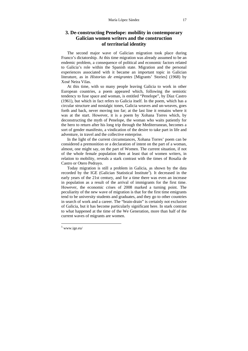### **3. De-constructing Penelope: mobility in contemporary Galician women writers and the construction of territorial identity**

The second major wave of Galician migration took place during Franco's dictatorship. At this time migration was already assumed to be an endemic problem, a consequence of political and economic factors related to Galicia's role within the Spanish state. Migration and the personal experiences associated with it became an important topic in Galician literature, as in *Historias de emigrantes* [Migrants' Stories] (1968) by Xosé Neira Vilas.

At this time, with so many people leaving Galicia to work in other European countries, a poem appeared which, following the semiotic tendency to fuse space and woman, is entitled "Penelope", by Díaz Castro (1961), but which in fact refers to Galicia itself. In the poem, which has a circular structure and nostalgic tones, Galicia weaves and un-weaves, goes forth and back, never moving too far; at the last line it remains where it was at the start. However, it is a poem by Xohana Torres which, by deconstructing the myth of Penelope, the woman who waits patiently for the hero to return after his long trip through the Mediterranean, becomes a sort of gender manifesto, a vindication of the desire to take part in life and adventure, in travel and the collective enterprise.

In the light of the current circumstances, Xohana Torres' poem can be considered a premonition or a declaration of intent on the part of a woman, almost, one might say, on the part of Women. The current situation, if not of the whole female population then at least that of women writers, in relation to mobility, reveals a stark contrast with the times of Rosalía de Castro or Otero Pedrayo.

Today migration is still a problem in Galicia, as shown by the data recorded by the IGE (Galician Statistical Institute<sup>5</sup>). It decreased in the early years of the 21st century, and for a time there was even an increase in population as a result of the arrival of immigrants for the first time. However, the economic crises of 2008 marked a turning point. The peculiarity of the new wave of migration is that for the first time emigrants tend to be university students and graduates, and they go to other countries in search of work and a career. The "brain-drain" is certainly not exclusive of Galicia, but it has become particularly significant here. In stark contrast to what happened at the time of the We Generation, more than half of the current waves of migrants are women.

 $\overline{a}$ 

<sup>5</sup> www.ige.eu/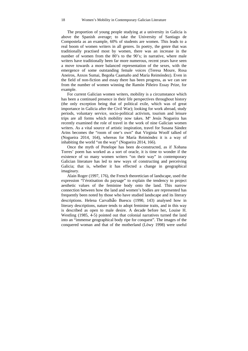The proportion of young people studying at a university in Galicia is above the Spanish average; to take the University of Santiago de Compostela as an example, 60% of students are women. This leads to a real boom of women writers in all genres. In poetry, the genre that was traditionally practised most by women, there was an increase in the number of women from the 80's to the 90's; in narrative, where male writers have traditionally been far more numerous, recent years have seen a move towards a more balanced representation of the sexes, with the emergence of some outstanding female voices (Teresa Moure, Rosa Aneiros, Anxos Sumai, Begoña Caamaño and María Reimóndez). Even in the field of non-fiction and essay there has been progress, as we can see from the number of women winning the Ramón Piñeiro Essay Prize, for example.

For current Galician women writers, mobility is a circumstance which has been a continued presence in their life perspectives throughout history (the only exception being that of political exile, which was of great importance in Galicia after the Civil War); looking for work abroad, study periods, voluntary service, socio-political activism, tourism and leisure trips are all forms which mobility now takes. Mª Jesús Nogueira has recently examined the role of travel in the work of nine Galician women writers. As a vital source of artistic inspiration, travel for Susana Sández Arins becomes the "room of one's own" that Virginia Woolf talked of (Nogueira 2014, 164), whereas for María Reimóndez it is a way of inhabiting the world "on the way" (Nogueira 2014, 166).

Once the myth of Penelope has been de-constructed, as if Xohana Torres' poem has worked as a sort of oracle, it is time to wonder if the existence of so many women writers "on their way" in contemporary Galician literature has led to new ways of constructing and perceiving Galicia; that is, whether it has effected a change in geographical imaginary.

Alain Roger (1997, 176), the French theoretician of landscape, used the expression "l'érotisation du paysage" to explain the tendency to project aesthetic values of the feminine body onto the land. This narrow connection between how the land and women's bodies are represented has frequently been noted by those who have studied landscape and its literary descriptions. Helena Carvalhão Buescu (1990, 143) analysed how in literary descriptions, nature tends to adopt feminine traits, and in this way is described as open to male desire. A decade before her, Louise H. Westling (1985, 4-5) pointed out that colonial narratives turned the land into an "immense geographical body ripe for conquest". The images of the conquered woman and that of the motherland (Löwy 1998) were useful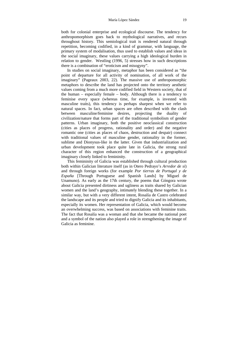both for colonial enterprise and ecological discourse. The tendency for anthropomorphism goes back to mythological narratives, and recurs throughout history. This semiological trait is rendered natural through repetition, becoming codified, in a kind of grammar, with language, the primary system of modalisation, thus used to establish values and ideas in the social imaginary, these values carrying a high ideological burden in relation to gender. Westling (1996, 5) stresses how in such descriptions there is a combination of "eroticism and misogyny".

In studies on social imaginary, metaphor has been considered as "the point of departure for all activity of nomination, of all work of the imaginary" (Pageaux 2003, 22). The massive use of anthropomorphic metaphors to describe the land has projected onto the territory aesthetic values coming from a much more codified field in Western society, that of the human – especially female – body. Although there is a tendency to feminise every space (whereas time, for example, is invested with masculine traits), this tendency is perhaps sharpest when we refer to natural spaces. In fact, urban spaces are often described with the clash between masculine/feminine desires, projecting the duality of civilization/nature that forms part of the traditional symbolism of gender patterns. Urban imaginary, both the positive neoclassical construction (cities as places of progress, rationality and order) and the negative romantic one (cities as places of chaos, destruction and despair) connect with traditional values of masculine gender, rationality in the former, sublime and Dionysus-like in the latter. Given that industrialization and urban development took place quite late in Galicia, the strong rural character of this region enhanced the construction of a geographical imaginary closely linked to femininity.

This femininity of Galicia was established through cultural production both within Galician literature itself (as in Otero Pedrayo's *Arredor de si*) and through foreign works (for example *Por tierras de Portugal y de España* [Through Portuguese and Spanish Lands] by Miguel de Unamuno). As early as the 17th century, the poems that Góngora wrote about Galicia presented dirtiness and ugliness as traits shared by Galician women and the land's geography, intimately blending these together. In a similar way, but with a very different intent, Rosalía de Castro celebrated the landscape and its people and tried to dignify Galicia and its inhabitants, especially its women. Her representation of Galicia, which would become an overwhelming success, was based on associations with feminine traits. The fact that Rosalía was a woman and that she became the national poet and a symbol of the nation also played a role in strengthening the image of Galicia as feminine.